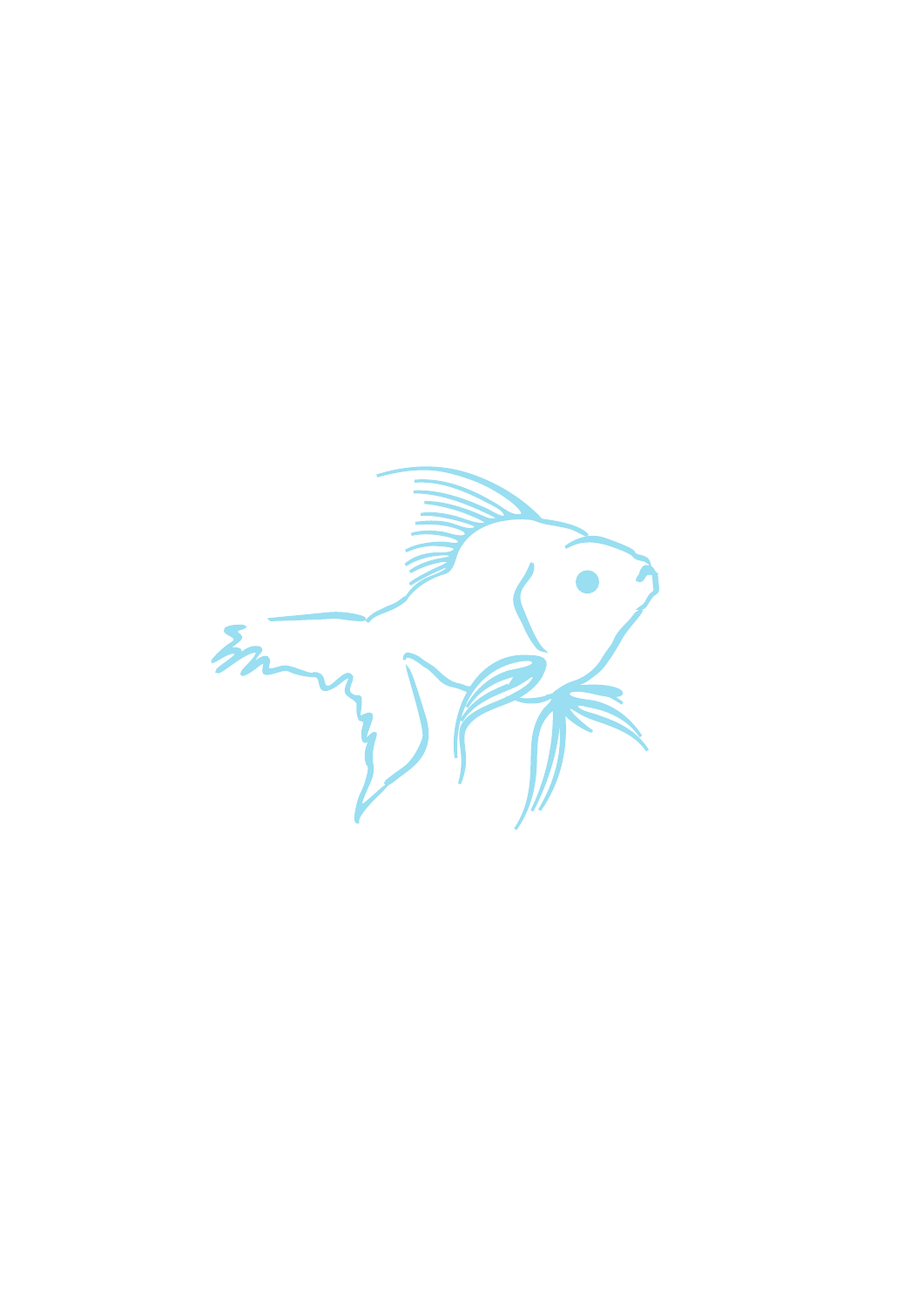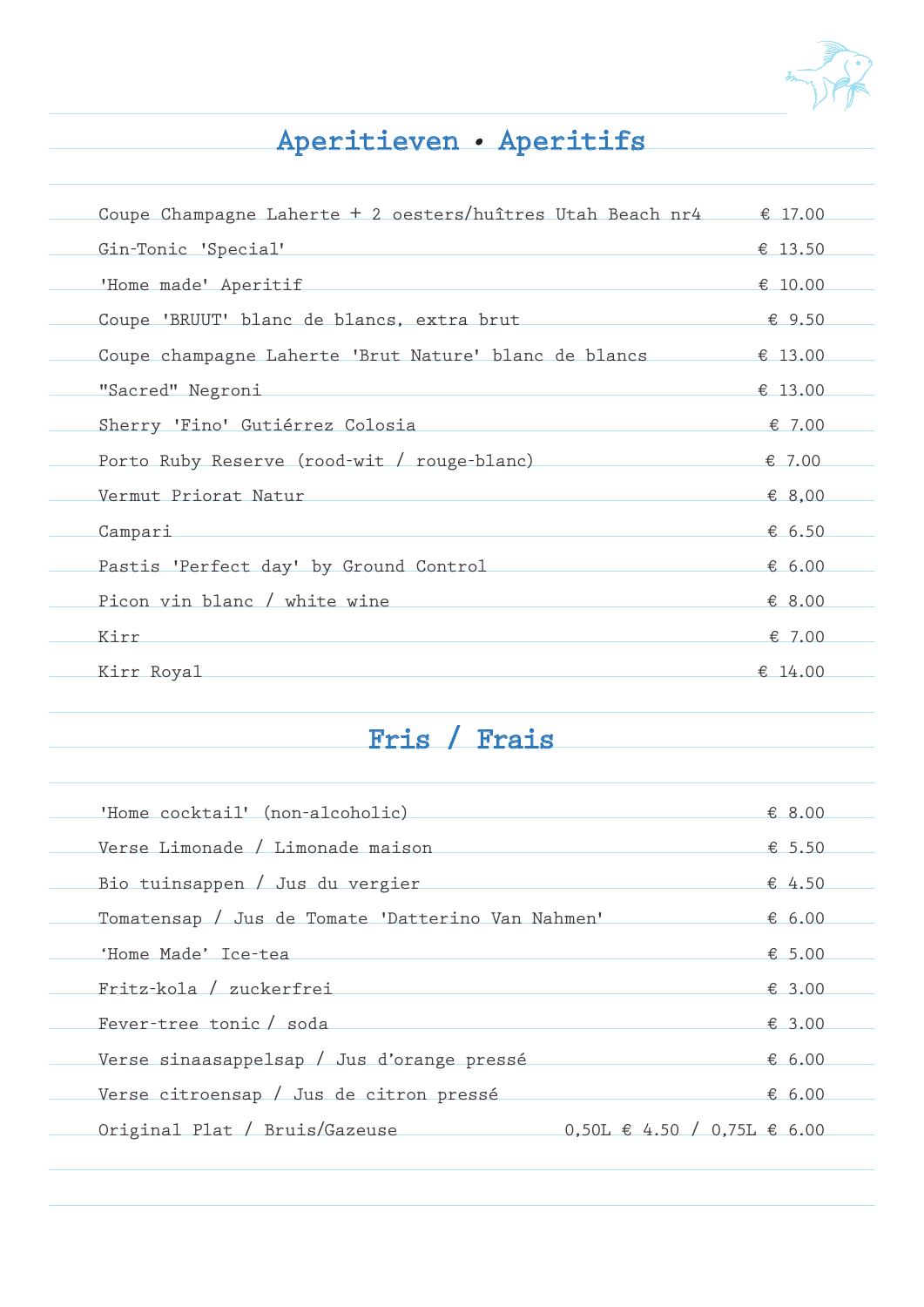

## Aperitieven • Aperitifs

| Coupe Champagne Laherte + 2 oesters/huîtres Utah Beach nr4 $\epsilon$ 17.00 |                 |
|-----------------------------------------------------------------------------|-----------------|
| Gin-Tonic 'Special'                                                         | € 13.50         |
| 'Home made' Aperitif                                                        | € 10.00         |
| Coupe 'BRUUT' blanc de blancs, extra brut                                   | & 9.50          |
| Coupe champagne Laherte 'Brut Nature' blanc de blancs                       | € 13.00         |
| "Sacred" Negroni                                                            | € 13.00         |
| Sherry 'Fino' Gutiérrez Colosia                                             | € 7.00          |
| Porto Ruby Reserve (rood-wit / rouge-blanc)                                 | $\epsilon$ 7.00 |
| Vermut Priorat Natur                                                        | \$8,00          |
| Campari                                                                     | € 6.50          |
| Pastis 'Perfect day' by Ground Control                                      | € 6.00          |
| Picon vin blanc / white wine                                                | € 8.00          |
| Kirr                                                                        | \$7.00          |
| Kirr Royal                                                                  | € 14.00         |

## Fris / Frais

| 'Home cocktail' (non-alcoholic)                                 | \$8.00          |
|-----------------------------------------------------------------|-----------------|
| Verse Limonade / Limonade maison                                | € $5.50$        |
| Bio tuinsappen / Jus du vergier                                 | $\epsilon$ 4.50 |
| Tomatensap / Jus de Tomate 'Datterino Van Nahmen'               | € 6.00          |
| 'Home Made' Ice-tea                                             | \$5.00          |
| Fritz-kola / zuckerfrei                                         | $\epsilon$ 3.00 |
| Fever-tree tonic / soda                                         | $\epsilon$ 3.00 |
| Verse sinaasappelsap / Jus d'orange pressé                      | € 6.00          |
| Verse citroensap / Jus de citron pressé                         | € 6.00          |
| Original Plat / Bruis/Gazeuse<br>$0,50$ L € 4.50 / 0,75L € 6.00 |                 |